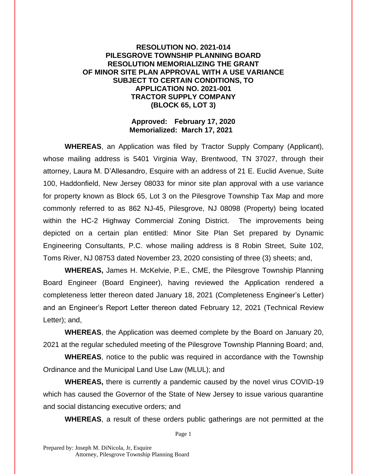## **RESOLUTION NO. 2021-014 PILESGROVE TOWNSHIP PLANNING BOARD RESOLUTION MEMORIALIZING THE GRANT OF MINOR SITE PLAN APPROVAL WITH A USE VARIANCE SUBJECT TO CERTAIN CONDITIONS, TO APPLICATION NO. 2021-001 TRACTOR SUPPLY COMPANY (BLOCK 65, LOT 3)**

## **Approved: February 17, 2020 Memorialized: March 17, 2021**

**WHEREAS**, an Application was filed by Tractor Supply Company (Applicant), whose mailing address is 5401 Virginia Way, Brentwood, TN 37027, through their attorney, Laura M. D'Allesandro, Esquire with an address of 21 E. Euclid Avenue, Suite 100, Haddonfield, New Jersey 08033 for minor site plan approval with a use variance for property known as Block 65, Lot 3 on the Pilesgrove Township Tax Map and more commonly referred to as 862 NJ-45, Pilesgrove, NJ 08098 (Property) being located within the HC-2 Highway Commercial Zoning District. The improvements being depicted on a certain plan entitled: Minor Site Plan Set prepared by Dynamic Engineering Consultants, P.C. whose mailing address is 8 Robin Street, Suite 102, Toms River, NJ 08753 dated November 23, 2020 consisting of three (3) sheets; and,

**WHEREAS,** James H. McKelvie, P.E., CME, the Pilesgrove Township Planning Board Engineer (Board Engineer), having reviewed the Application rendered a completeness letter thereon dated January 18, 2021 (Completeness Engineer's Letter) and an Engineer's Report Letter thereon dated February 12, 2021 (Technical Review Letter); and,

**WHEREAS**, the Application was deemed complete by the Board on January 20, 2021 at the regular scheduled meeting of the Pilesgrove Township Planning Board; and,

**WHEREAS**, notice to the public was required in accordance with the Township Ordinance and the Municipal Land Use Law (MLUL); and

**WHEREAS,** there is currently a pandemic caused by the novel virus COVID-19 which has caused the Governor of the State of New Jersey to issue various quarantine and social distancing executive orders; and

**WHEREAS**, a result of these orders public gatherings are not permitted at the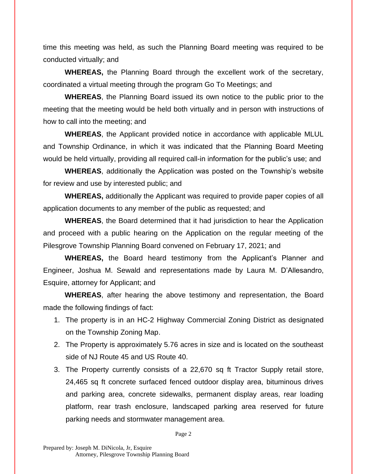time this meeting was held, as such the Planning Board meeting was required to be conducted virtually; and

**WHEREAS,** the Planning Board through the excellent work of the secretary, coordinated a virtual meeting through the program Go To Meetings; and

**WHEREAS**, the Planning Board issued its own notice to the public prior to the meeting that the meeting would be held both virtually and in person with instructions of how to call into the meeting; and

**WHEREAS**, the Applicant provided notice in accordance with applicable MLUL and Township Ordinance, in which it was indicated that the Planning Board Meeting would be held virtually, providing all required call-in information for the public's use; and

**WHEREAS**, additionally the Application was posted on the Township's website for review and use by interested public; and

**WHEREAS,** additionally the Applicant was required to provide paper copies of all application documents to any member of the public as requested; and

**WHEREAS**, the Board determined that it had jurisdiction to hear the Application and proceed with a public hearing on the Application on the regular meeting of the Pilesgrove Township Planning Board convened on February 17, 2021; and

**WHEREAS,** the Board heard testimony from the Applicant's Planner and Engineer, Joshua M. Sewald and representations made by Laura M. D'Allesandro, Esquire, attorney for Applicant; and

**WHEREAS**, after hearing the above testimony and representation, the Board made the following findings of fact:

- 1. The property is in an HC-2 Highway Commercial Zoning District as designated on the Township Zoning Map.
- 2. The Property is approximately 5.76 acres in size and is located on the southeast side of NJ Route 45 and US Route 40.
- 3. The Property currently consists of a 22,670 sq ft Tractor Supply retail store, 24,465 sq ft concrete surfaced fenced outdoor display area, bituminous drives and parking area, concrete sidewalks, permanent display areas, rear loading platform, rear trash enclosure, landscaped parking area reserved for future parking needs and stormwater management area.

Page 2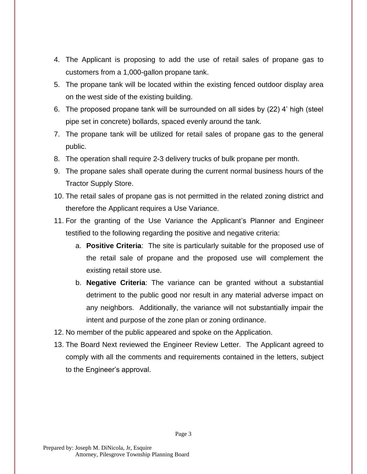- 4. The Applicant is proposing to add the use of retail sales of propane gas to customers from a 1,000-gallon propane tank.
- 5. The propane tank will be located within the existing fenced outdoor display area on the west side of the existing building.
- 6. The proposed propane tank will be surrounded on all sides by (22) 4' high (steel pipe set in concrete) bollards, spaced evenly around the tank.
- 7. The propane tank will be utilized for retail sales of propane gas to the general public.
- 8. The operation shall require 2-3 delivery trucks of bulk propane per month.
- 9. The propane sales shall operate during the current normal business hours of the Tractor Supply Store.
- 10. The retail sales of propane gas is not permitted in the related zoning district and therefore the Applicant requires a Use Variance.
- 11. For the granting of the Use Variance the Applicant's Planner and Engineer testified to the following regarding the positive and negative criteria:
	- a. **Positive Criteria**: The site is particularly suitable for the proposed use of the retail sale of propane and the proposed use will complement the existing retail store use.
	- b. **Negative Criteria**: The variance can be granted without a substantial detriment to the public good nor result in any material adverse impact on any neighbors. Additionally, the variance will not substantially impair the intent and purpose of the zone plan or zoning ordinance.
- 12. No member of the public appeared and spoke on the Application.
- 13. The Board Next reviewed the Engineer Review Letter. The Applicant agreed to comply with all the comments and requirements contained in the letters, subject to the Engineer's approval.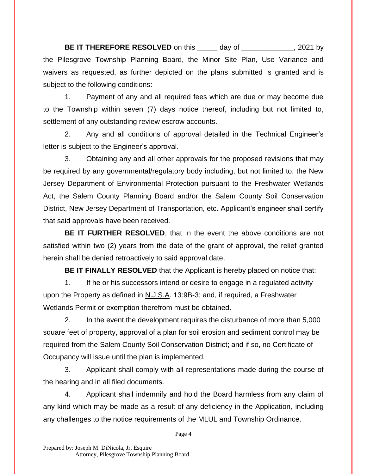**BE IT THEREFORE RESOLVED** on this day of the same of the same of the same of the same of the same of the same of the same of the same of the same of the same of the same of the same of the same of the same of the same of the Pilesgrove Township Planning Board, the Minor Site Plan, Use Variance and waivers as requested, as further depicted on the plans submitted is granted and is subject to the following conditions:

1. Payment of any and all required fees which are due or may become due to the Township within seven (7) days notice thereof, including but not limited to, settlement of any outstanding review escrow accounts.

2. Any and all conditions of approval detailed in the Technical Engineer's letter is subject to the Engineer's approval.

3. Obtaining any and all other approvals for the proposed revisions that may be required by any governmental/regulatory body including, but not limited to, the New Jersey Department of Environmental Protection pursuant to the Freshwater Wetlands Act, the Salem County Planning Board and/or the Salem County Soil Conservation District, New Jersey Department of Transportation, etc. Applicant's engineer shall certify that said approvals have been received.

**BE IT FURTHER RESOLVED**, that in the event the above conditions are not satisfied within two (2) years from the date of the grant of approval, the relief granted herein shall be denied retroactively to said approval date.

**BE IT FINALLY RESOLVED** that the Applicant is hereby placed on notice that:

1. If he or his successors intend or desire to engage in a regulated activity upon the Property as defined in N.J.S.A. 13:9B-3; and, if required, a Freshwater Wetlands Permit or exemption therefrom must be obtained.

2. In the event the development requires the disturbance of more than 5,000 square feet of property, approval of a plan for soil erosion and sediment control may be required from the Salem County Soil Conservation District; and if so, no Certificate of Occupancy will issue until the plan is implemented.

3. Applicant shall comply with all representations made during the course of the hearing and in all filed documents.

4. Applicant shall indemnify and hold the Board harmless from any claim of any kind which may be made as a result of any deficiency in the Application, including any challenges to the notice requirements of the MLUL and Township Ordinance.

Page 4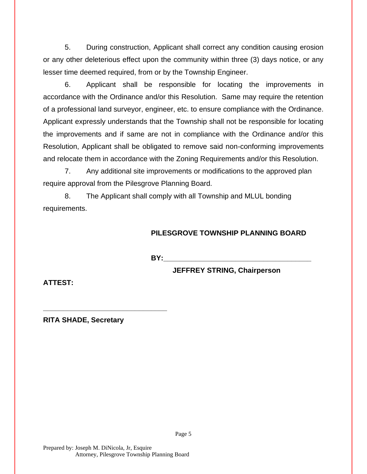5. During construction, Applicant shall correct any condition causing erosion or any other deleterious effect upon the community within three (3) days notice, or any lesser time deemed required, from or by the Township Engineer.

6. Applicant shall be responsible for locating the improvements in accordance with the Ordinance and/or this Resolution. Same may require the retention of a professional land surveyor, engineer, etc. to ensure compliance with the Ordinance. Applicant expressly understands that the Township shall not be responsible for locating the improvements and if same are not in compliance with the Ordinance and/or this Resolution, Applicant shall be obligated to remove said non-conforming improvements and relocate them in accordance with the Zoning Requirements and/or this Resolution.

7. Any additional site improvements or modifications to the approved plan require approval from the Pilesgrove Planning Board.

8. The Applicant shall comply with all Township and MLUL bonding requirements.

## **PILESGROVE TOWNSHIP PLANNING BOARD**

**BY:** 

Page 5

**JEFFREY STRING, Chairperson**

**ATTEST:**

**RITA SHADE, Secretary**

**\_\_\_\_\_\_\_\_\_\_\_\_\_\_\_\_\_\_\_\_\_\_\_\_\_\_\_\_\_\_\_**